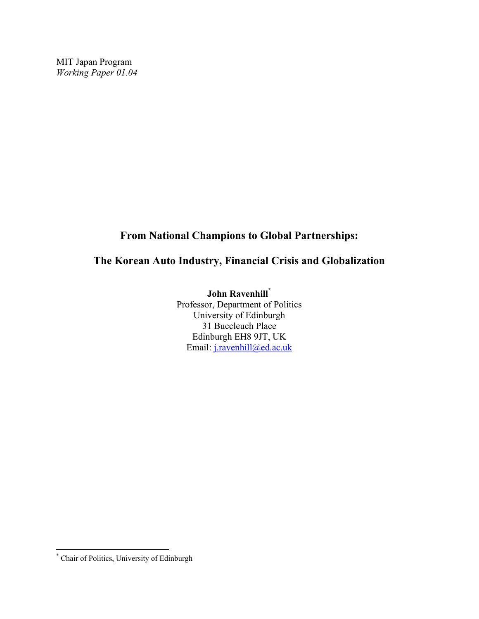MIT Japan Program *Working Paper 01.04* 

# **From National Champions to Global Partnerships:**

### **The Korean Auto Industry, Financial Crisis and Globalization**

**John Ravenhill[\\*](#page-0-0)** Professor, Department of Politics University of Edinburgh 31 Buccleuch Place Edinburgh EH8 9JT, UK Email: [j.ravenhill@ed.ac.uk](mailto:j.ravenhill@ed.ac.uk)

<span id="page-0-0"></span> \* Chair of Politics, University of Edinburgh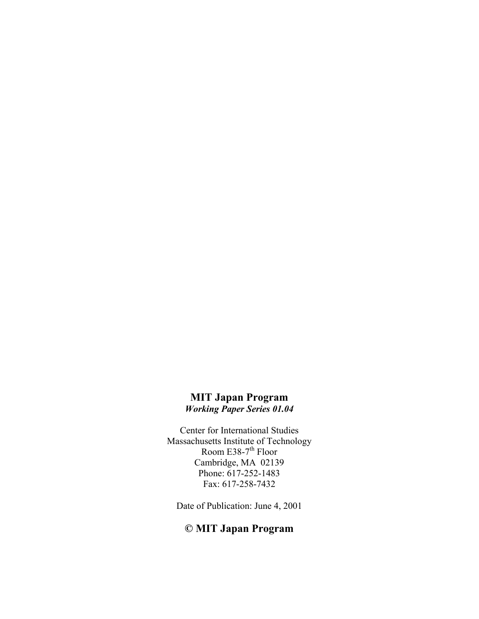### **MIT Japan Program**  *Working Paper Series 01.04*

Center for International Studies Massachusetts Institute of Technology Room E38-7<sup>th</sup> Floor Cambridge, MA 02139 Phone: 617-252-1483 Fax: 617-258-7432

Date of Publication: June 4, 2001

# **© MIT Japan Program**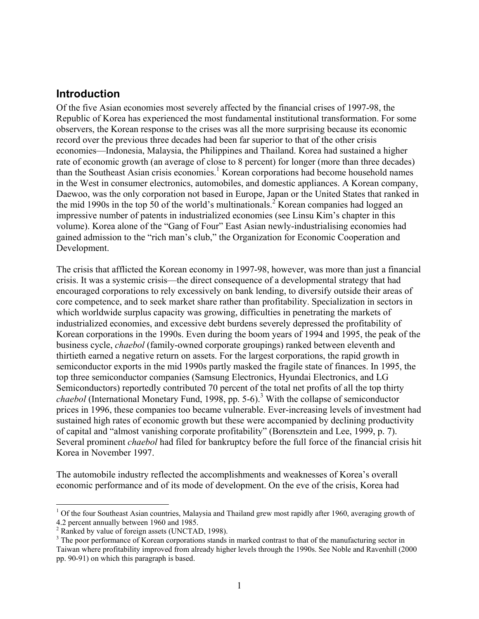### **Introduction**

Of the five Asian economies most severely affected by the financial crises of 1997-98, the Republic of Korea has experienced the most fundamental institutional transformation. For some observers, the Korean response to the crises was all the more surprising because its economic record over the previous three decades had been far superior to that of the other crisis economies—Indonesia, Malaysia, the Philippines and Thailand. Korea had sustained a higher rate of economic growth (an average of close to 8 percent) for longer (more than three decades) than the Southeast Asian crisis economies.<sup>[1](#page-2-0)</sup> Korean corporations had become household names in the West in consumer electronics, automobiles, and domestic appliances. A Korean company, Daewoo, was the only corporation not based in Europe, Japan or the United States that ranked in the mid 1990s in the top 50 of the world's multinationals.<sup>[2](#page-2-1)</sup> Korean companies had logged an impressive number of patents in industrialized economies (see Linsu Kim's chapter in this volume). Korea alone of the "Gang of Four" East Asian newly-industrialising economies had gained admission to the "rich man's club," the Organization for Economic Cooperation and Development.

The crisis that afflicted the Korean economy in 1997-98, however, was more than just a financial crisis. It was a systemic crisis—the direct consequence of a developmental strategy that had encouraged corporations to rely excessively on bank lending, to diversify outside their areas of core competence, and to seek market share rather than profitability. Specialization in sectors in which worldwide surplus capacity was growing, difficulties in penetrating the markets of industrialized economies, and excessive debt burdens severely depressed the profitability of Korean corporations in the 1990s. Even during the boom years of 1994 and 1995, the peak of the business cycle, *chaebol* (family-owned corporate groupings) ranked between eleventh and thirtieth earned a negative return on assets. For the largest corporations, the rapid growth in semiconductor exports in the mid 1990s partly masked the fragile state of finances. In 1995, the top three semiconductor companies (Samsung Electronics, Hyundai Electronics, and LG Semiconductors) reportedly contributed 70 percent of the total net profits of all the top thirty chaebol (International Monetary Fund, 1998, pp. 5-6).<sup>[3](#page-2-2)</sup> With the collapse of semiconductor prices in 1996, these companies too became vulnerable. Ever-increasing levels of investment had sustained high rates of economic growth but these were accompanied by declining productivity of capital and "almost vanishing corporate profitability" (Borensztein and Lee, 1999, p. 7). Several prominent *chaebol* had filed for bankruptcy before the full force of the financial crisis hit Korea in November 1997.

The automobile industry reflected the accomplishments and weaknesses of Korea's overall economic performance and of its mode of development. On the eve of the crisis, Korea had

<span id="page-2-0"></span> $\overline{a}$ <sup>1</sup> Of the four Southeast Asian countries, Malaysia and Thailand grew most rapidly after 1960, averaging growth of 4.2 percent annually between 1960 and 1985.<br> $^{2}$  Penked by value of foreign assets (UNCTA)

<span id="page-2-1"></span> $\frac{2}{3}$  Ranked by value of foreign assets (UNCTAD, 1998).

<span id="page-2-2"></span><sup>&</sup>lt;sup>3</sup> The poor performance of Korean corporations stands in marked contrast to that of the manufacturing sector in Taiwan where profitability improved from already higher levels through the 1990s. See Noble and Ravenhill (2000 pp. 90-91) on which this paragraph is based.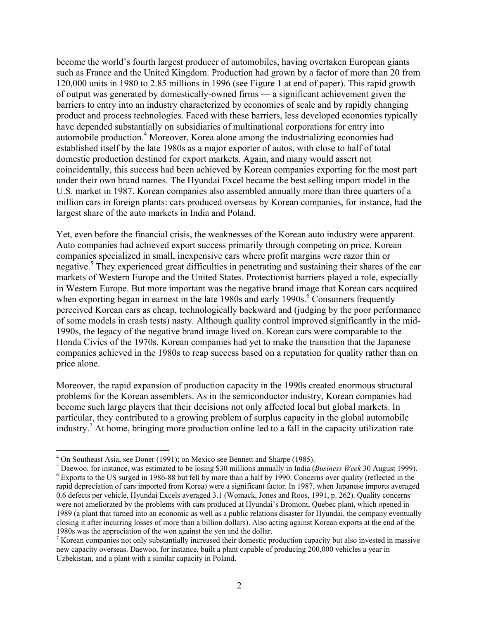<span id="page-3-3"></span>become the world's fourth largest producer of automobiles, having overtaken European giants such as France and the United Kingdom. Production had grown by a factor of more than 20 from 120,000 units in 1980 to 2.85 millions in 1996 (see Figure 1 at end of paper). This rapid growth of output was generated by domestically-owned firms — a significant achievement given the barriers to entry into an industry characterized by economies of scale and by rapidly changing product and process technologies. Faced with these barriers, less developed economies typically have depended substantially on subsidiaries of multinational corporations for entry into automobile production.<sup>4</sup> Moreover, Korea alone among the industrializing economies had established itself by the late 1980s as a major exporter of autos, with close to half of total domestic production destined for export markets. Again, and many would assert not coincidentally, this success had been achieved by Korean companies exporting for the most part under their own brand names. The Hyundai Excel became the best selling import model in the U.S. market in 1987. Korean companies also assembled annually more than three quarters of a million cars in foreign plants: cars produced overseas by Korean companies, for instance, had the largest share of the auto markets in India and Poland.

Yet, even before the financial crisis, the weaknesses of the Korean auto industry were apparent. Auto companies had achieved export success primarily through competing on price. Korean companies specialized in small, inexpensive cars where profit margins were razor thin or negative.<sup>[5](#page-3-1)</sup> They experienced great difficulties in penetrating and sustaining their shares of the car markets of Western Europe and the United States. Protectionist barriers played a role, especially in Western Europe. But more important was the negative brand image that Korean cars acquired when exporting began in earnest in the late 1980s and early 1990s.<sup>6</sup> [C](#page-3-2)onsumers frequently perceived Korean cars as cheap, technologically backward and (judging by the poor performance of some models in crash tests) nasty. Although quality control improved significantly in the mid-1990s, the legacy of the negative brand image lived on. Korean cars were comparable to the Honda Civics of the 1970s. Korean companies had yet to make the transition that the Japanese companies achieved in the 1980s to reap success based on a reputation for quality rather than on price alone.

Moreover, the rapid expansion of production capacity in the 1990s created enormous structural problems for the Korean assemblers. As in the semiconductor industry, Korean companies had become such large players that their decisions not only affected local but global markets. In particular, they contributed to a growing problem of surplus capacity in the global automobile  $\frac{1}{2}$  industry.<sup>7</sup> At home, bringing more production online led to a fall in the capacity utilization rate

<span id="page-3-0"></span><sup>&</sup>lt;sup>4</sup> On Southeast Asia, see Doner (1991); on Mexico see Bennett and Sharpe (1985).

<span id="page-3-2"></span><span id="page-3-1"></span>Daewoo, for instance, was estimated to be losing \$30 millions annually in India (*Business Week*<sup>30</sup> August 1999). <sup>6</sup>  $6$  Exports to the US surged in 1986-88 but fell by more than a half by 1990. Concerns over quality (reflected in the rapid depreciation of cars imported from Korea) were a significant factor. In 1987, when Japanese imports averaged 0.6 defects per vehicle, Hyundai Excels averaged 3.1 (Womack, Jones and Roos, 1991, p. 262). Quality concerns were not ameliorated by the problems with cars produced at Hyundai's Bromont, Quebec plant, which opened in 1989 (a plant that turned into an economic as well as a public relations disaster for Hyundai, the company eventually closing it after incurring losses of more than a billion dollars). Also acting against Korean exports at the end of the 1980s was the appreciation of the won against the yen and the dollar. 7

<sup>&</sup>lt;sup>7</sup> Korean companies not only substantially increased their domestic production capacity but also invested in massive new capacity overseas. Daewoo, for instance, built a plant capable of producing 200,000 vehicles a year in Uzbekistan, and a plant with a similar capacity in Poland.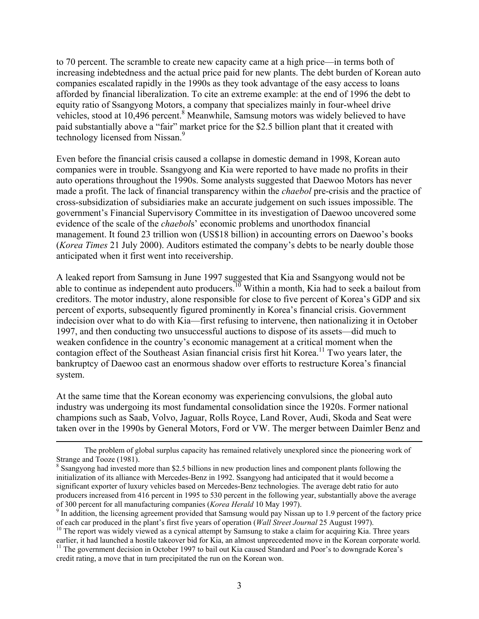to 70 percent. The scramble to create new capacity came at a high price—in terms both of increasing indebtedness and the actual price paid for new plants. The debt burden of Korean auto companies escalated rapidly in the 1990s as they took advantage of the easy access to loans afforded by financial liberalization. To cite an extreme example: at the end of 1996 the debt to equity ratio of Ssangyong Motors, a company that specializes mainly in four-wheel drive vehicles, stood at  $10,496$  percent.<sup>[8](#page-4-0)</sup> Meanwhile, Samsung motors was widely believed to have paid substantially above a "fair" market price for the \$2.5 billion plant that it created with technology licensed from Nissan.<sup>[9](#page-4-1)</sup>

Even before the financial crisis caused a collapse in domestic demand in 1998, Korean auto companies were in trouble. Ssangyong and Kia were reported to have made no profits in their auto operations throughout the 1990s. Some analysts suggested that Daewoo Motors has never made a profit. The lack of financial transparency within the *chaebol* pre-crisis and the practice of cross-subsidization of subsidiaries make an accurate judgement on such issues impossible. The government's Financial Supervisory Committee in its investigation of Daewoo uncovered some evidence of the scale of the *chaebol*s' economic problems and unorthodox financial management. It found 23 trillion won (US\$18 billion) in accounting errors on Daewoo's books (*Korea Times* 21 July 2000). Auditors estimated the company's debts to be nearly double those anticipated when it first went into receivership.

A leaked report from Samsung in June 1997 suggested that Kia and Ssangyong would not be able to continue as independent auto producers.<sup>10</sup> Within a month, Kia had to seek a bailout from creditors. The motor industry, alone responsible for close to five percent of Korea's GDP and six percent of exports, subsequently figured prominently in Korea's financial crisis. Government indecision over what to do with Kia—first refusing to intervene, then nationalizing it in October 1997, and then conducting two unsuccessful auctions to dispose of its assets—did much to weaken confidence in the country's economic management at a critical moment when the contagion effect of the Southeast Asian financial crisis first hit Korea.<sup>11</sup> Two years later, the bankruptcy of Daewoo cast an enormous shadow over efforts to restructure Korea's financial system.

At the same time that the Korean economy was experiencing convulsions, the global auto industry was undergoing its most fundamental consolidation since the 1920s. Former national champions such as Saab, Volvo, Jaguar, Rolls Royce, Land Rover, Audi, Skoda and Seat were taken over in the 1990s by General Motors, Ford or VW. The merger between Daimler Benz and

The problem of global surplus capacity has remained relatively unexplored since the pioneering work of Strange and Tooze (1981).

<span id="page-4-0"></span><sup>&</sup>lt;sup>8</sup> Ssangyong had invested more than \$2.5 billions in new production lines and component plants following the initialization of its alliance with Mercedes-Benz in 1992. Ssangyong had anticipated that it would become a significant exporter of luxury vehicles based on Mercedes-Benz technologies. The average debt ratio for auto producers increased from 416 percent in 1995 to 530 percent in the following year, substantially above the average of 300 percent for all manufacturing companies (*Korea Herald* 10 May 1997).

<span id="page-4-1"></span> $<sup>9</sup>$  In addition, the licensing agreement provided that Samsung would pay Nissan up to 1.9 percent of the factory price</sup>

<span id="page-4-2"></span>of each car produced in the plant's first five years of operation (*Wall Street Journal* 25 August 1997).<br><sup>10</sup> The report was widely viewed as a cynical attempt by Samsung to stake a claim for acquiring Kia. Three years ea <sup>11</sup> The government decision in October 1997 to bail out Kia caused Standard and Poor's to downgrade Korea's

<span id="page-4-3"></span>credit rating, a move that in turn precipitated the run on the Korean won.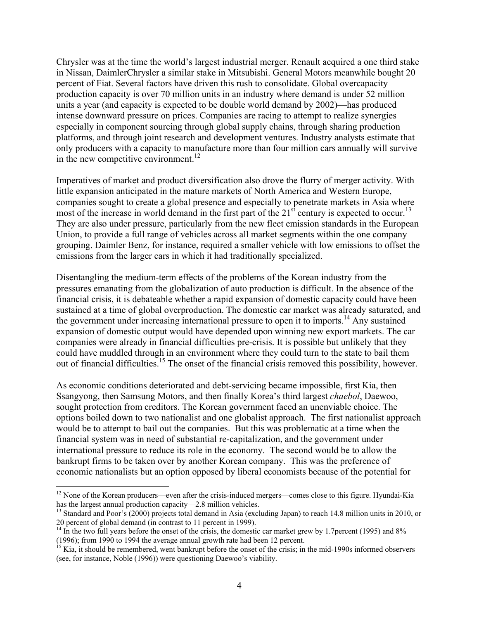Chrysler was at the time the world's largest industrial merger. Renault acquired a one third stake in Nissan, DaimlerChrysler a similar stake in Mitsubishi. General Motors meanwhile bought 20 percent of Fiat. Several factors have driven this rush to consolidate. Global overcapacity production capacity is over 70 million units in an industry where demand is under 52 million units a year (and capacity is expected to be double world demand by 2002)—has produced intense downward pressure on prices. Companies are racing to attempt to realize synergies especially in component sourcing through global supply chains, through sharing production platforms, and through joint research and development ventures. Industry analysts estimate that only producers with a capacity to manufacture more than four million cars annually will survive in the new competitive environment.<sup>12</sup>

Imperatives of market and product diversification also drove the flurry of merger activity. With little expansion anticipated in the mature markets of North America and Western Europe, companies sought to create a global presence and especially to penetrate markets in Asia where most of the increase in world demand in the first part of the  $21<sup>st</sup>$  century is expected to occur.<sup>[13](#page-5-1)</sup> They are also under pressure, particularly from the new fleet emission standards in the European Union, to provide a full range of vehicles across all market segments within the one company grouping. Daimler Benz, for instance, required a smaller vehicle with low emissions to offset the emissions from the larger cars in which it had traditionally specialized.

Disentangling the medium-term effects of the problems of the Korean industry from the pressures emanating from the globalization of auto production is difficult. In the absence of the financial crisis, it is debateable whether a rapid expansion of domestic capacity could have been sustained at a time of global overproduction. The domestic car market was already saturated, and the government under increasing international pressure to open it to imports.<sup>14</sup> Any sustained expansion of domestic output would have depended upon winning new export markets. The car companies were already in financial difficulties pre-crisis. It is possible but unlikely that they could have muddled through in an environment where they could turn to the state to bail them out of financial difficulties[.15](#page-5-3) The onset of the financial crisis removed this possibility, however.

As economic conditions deteriorated and debt-servicing became impossible, first Kia, then Ssangyong, then Samsung Motors, and then finally Korea's third largest *chaebol*, Daewoo, sought protection from creditors. The Korean government faced an unenviable choice. The options boiled down to two nationalist and one globalist approach. The first nationalist approach would be to attempt to bail out the companies. But this was problematic at a time when the financial system was in need of substantial re-capitalization, and the government under international pressure to reduce its role in the economy. The second would be to allow the bankrupt firms to be taken over by another Korean company. This was the preference of economic nationalists but an option opposed by liberal economists because of the potential for

1

<span id="page-5-0"></span><sup>&</sup>lt;sup>12</sup> None of the Korean producers—even after the crisis-induced mergers—comes close to this figure. Hyundai-Kia has the largest annual production capacity—2.8 million vehicles.<br><sup>13</sup> Standard and Poor's (2000) projects total demand in Asia (excluding Japan) to reach 14.8 million units in 2010, or

<span id="page-5-1"></span><sup>&</sup>lt;sup>14</sup> In the two full years before the onset of the crisis, the domestic car market grew by 1.7percent (1995) and 8%

<span id="page-5-2"></span><sup>(1996);</sup> from 1990 to 1994 the average annual growth rate had been <sup>12</sup> percent. 15 Kia, it should be remembered, went bankrupt before the onset of the crisis; in the mid-1990s informed observers

<span id="page-5-3"></span><sup>(</sup>see, for instance, Noble (1996)) were questioning Daewoo's viability.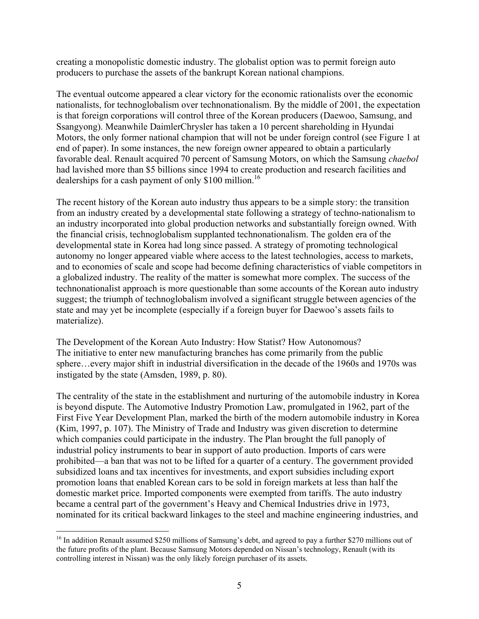creating a monopolistic domestic industry. The globalist option was to permit foreign auto producers to purchase the assets of the bankrupt Korean national champions.

The eventual outcome appeared a clear victory for the economic rationalists over the economic nationalists, for technoglobalism over technonationalism. By the middle of 2001, the expectation is that foreign corporations will control three of the Korean producers (Daewoo, Samsung, and Ssangyong). Meanwhile DaimlerChrysler has taken a 10 percent shareholding in Hyundai Motors, the only former national champion that will not be under foreign control (see Figure 1 at end of paper). In some instances, the new foreign owner appeared to obtain a particularly favorable deal. Renault acquired 70 percent of Samsung Motors, on which the Samsung *chaebol* had lavished more than \$5 billions since 1994 to create production and research facilities and dealerships for a cash payment of only \$100 million.<sup>[16](#page-6-0)</sup>

The recent history of the Korean auto industry thus appears to be a simple story: the transition from an industry created by a developmental state following a strategy of techno-nationalism to an industry incorporated into global production networks and substantially foreign owned. With the financial crisis, technoglobalism supplanted technonationalism. The golden era of the developmental state in Korea had long since passed. A strategy of promoting technological autonomy no longer appeared viable where access to the latest technologies, access to markets, and to economies of scale and scope had become defining characteristics of viable competitors in a globalized industry. The reality of the matter is somewhat more complex. The success of the technonationalist approach is more questionable than some accounts of the Korean auto industry suggest; the triumph of technoglobalism involved a significant struggle between agencies of the state and may yet be incomplete (especially if a foreign buyer for Daewoo's assets fails to materialize).

The Development of the Korean Auto Industry: How Statist? How Autonomous? The initiative to enter new manufacturing branches has come primarily from the public sphere…every major shift in industrial diversification in the decade of the 1960s and 1970s was instigated by the state (Amsden, 1989, p. 80).

The centrality of the state in the establishment and nurturing of the automobile industry in Korea is beyond dispute. The Automotive Industry Promotion Law, promulgated in 1962, part of the First Five Year Development Plan, marked the birth of the modern automobile industry in Korea (Kim, 1997, p. 107). The Ministry of Trade and Industry was given discretion to determine which companies could participate in the industry. The Plan brought the full panoply of industrial policy instruments to bear in support of auto production. Imports of cars were prohibited—a ban that was not to be lifted for a quarter of a century. The government provided subsidized loans and tax incentives for investments, and export subsidies including export promotion loans that enabled Korean cars to be sold in foreign markets at less than half the domestic market price. Imported components were exempted from tariffs. The auto industry became a central part of the government's Heavy and Chemical Industries drive in 1973, nominated for its critical backward linkages to the steel and machine engineering industries, and

<span id="page-6-0"></span><sup>&</sup>lt;sup>16</sup> In addition Renault assumed \$250 millions of Samsung's debt, and agreed to pay a further \$270 millions out of the future profits of the plant. Because Samsung Motors depended on Nissan's technology, Renault (with its controlling interest in Nissan) was the only likely foreign purchaser of its assets.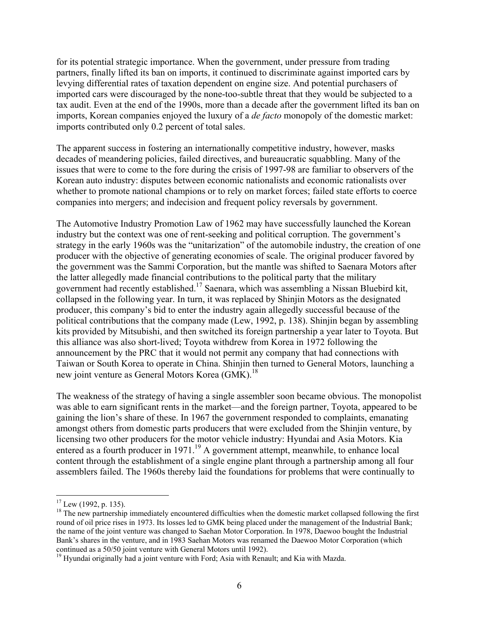for its potential strategic importance. When the government, under pressure from trading partners, finally lifted its ban on imports, it continued to discriminate against imported cars by levying differential rates of taxation dependent on engine size. And potential purchasers of imported cars were discouraged by the none-too-subtle threat that they would be subjected to a tax audit. Even at the end of the 1990s, more than a decade after the government lifted its ban on imports, Korean companies enjoyed the luxury of a *de facto* monopoly of the domestic market: imports contributed only 0.2 percent of total sales.

The apparent success in fostering an internationally competitive industry, however, masks decades of meandering policies, failed directives, and bureaucratic squabbling. Many of the issues that were to come to the fore during the crisis of 1997-98 are familiar to observers of the Korean auto industry: disputes between economic nationalists and economic rationalists over whether to promote national champions or to rely on market forces; failed state efforts to coerce companies into mergers; and indecision and frequent policy reversals by government.

The Automotive Industry Promotion Law of 1962 may have successfully launched the Korean industry but the context was one of rent-seeking and political corruption. The government's strategy in the early 1960s was the "unitarization" of the automobile industry, the creation of one producer with the objective of generating economies of scale. The original producer favored by the government was the Sammi Corporation, but the mantle was shifted to Saenara Motors after the latter allegedly made financial contributions to the political party that the military government had recently established.[17 S](#page-7-0)aenara, which was assembling a Nissan Bluebird kit, collapsed in the following year. In turn, it was replaced by Shinjin Motors as the designated producer, this company's bid to enter the industry again allegedly successful because of the political contributions that the company made (Lew, 1992, p. 138). Shinjin began by assembling kits provided by Mitsubishi, and then switched its foreign partnership a year later to Toyota. But this alliance was also short-lived; Toyota withdrew from Korea in 1972 following the announcement by the PRC that it would not permit any company that had connections with Taiwan or South Korea to operate in China. Shinjin then turned to General Motors, launching a new joint venture as General Motors Korea (GMK).<sup>[18](#page-7-1)</sup>

The weakness of the strategy of having a single assembler soon became obvious. The monopolist was able to earn significant rents in the market—and the foreign partner, Toyota, appeared to be gaining the lion's share of these. In 1967 the government responded to complaints, emanating amongst others from domestic parts producers that were excluded from the Shinjin venture, by licensing two other producers for the motor vehicle industry: Hyundai and Asia Motors. Kia entered as a fourth producer in 1971.<sup>19</sup> A government attempt, meanwhile, to enhance local content through the establishment of a single engine plant through a partnership among all four assemblers failed. The 1960s thereby laid the foundations for problems that were continually to

<span id="page-7-0"></span> $17$  Lew (1992, p. 135).

<span id="page-7-1"></span> $18$  The new partnership immediately encountered difficulties when the domestic market collapsed following the first round of oil price rises in 1973. Its losses led to GMK being placed under the management of the Industrial Bank; the name of the joint venture was changed to Saehan Motor Corporation. In 1978, Daewoo bought the Industrial Bank's shares in the venture, and in 1983 Saehan Motors was renamed the Daewoo Motor Corporation (which continued as a 50/50 joint venture with General Motors until 1992).<br><sup>19</sup> Hyundai originally had a joint venture with Ford; Asia with Renault; and Kia with Mazda.

<span id="page-7-2"></span>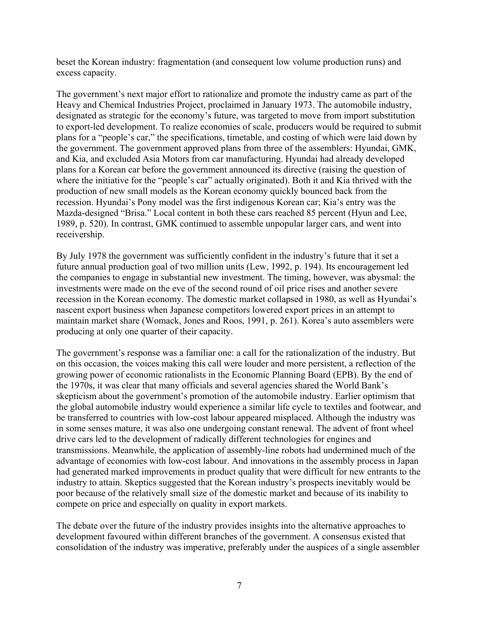beset the Korean industry: fragmentation (and consequent low volume production runs) and excess capacity.

The government's next major effort to rationalize and promote the industry came as part of the Heavy and Chemical Industries Project, proclaimed in January 1973. The automobile industry, designated as strategic for the economy's future, was targeted to move from import substitution to export-led development. To realize economies of scale, producers would be required to submit plans for a "people's car," the specifications, timetable, and costing of which were laid down by the government. The government approved plans from three of the assemblers: Hyundai, GMK, and Kia, and excluded Asia Motors from car manufacturing. Hyundai had already developed plans for a Korean car before the government announced its directive (raising the question of where the initiative for the "people's car" actually originated). Both it and Kia thrived with the production of new small models as the Korean economy quickly bounced back from the recession. Hyundai's Pony model was the first indigenous Korean car; Kia's entry was the Mazda-designed "Brisa." Local content in both these cars reached 85 percent (Hyun and Lee, 1989, p. 520). In contrast, GMK continued to assemble unpopular larger cars, and went into receivership.

By July 1978 the government was sufficiently confident in the industry's future that it set a future annual production goal of two million units (Lew, 1992, p. 194). Its encouragement led the companies to engage in substantial new investment. The timing, however, was abysmal: the investments were made on the eve of the second round of oil price rises and another severe recession in the Korean economy. The domestic market collapsed in 1980, as well as Hyundai's nascent export business when Japanese competitors lowered export prices in an attempt to maintain market share (Womack, Jones and Roos, 1991, p. 261). Korea's auto assemblers were producing at only one quarter of their capacity.

The government's response was a familiar one: a call for the rationalization of the industry. But on this occasion, the voices making this call were louder and more persistent, a reflection of the growing power of economic rationalists in the Economic Planning Board (EPB). By the end of the 1970s, it was clear that many officials and several agencies shared the World Bank's skepticism about the government's promotion of the automobile industry. Earlier optimism that the global automobile industry would experience a similar life cycle to textiles and footwear, and be transferred to countries with low-cost labour appeared misplaced. Although the industry was in some senses mature, it was also one undergoing constant renewal. The advent of front wheel drive cars led to the development of radically different technologies for engines and transmissions. Meanwhile, the application of assembly-line robots had undermined much of the advantage of economies with low-cost labour. And innovations in the assembly process in Japan had generated marked improvements in product quality that were difficult for new entrants to the industry to attain. Skeptics suggested that the Korean industry's prospects inevitably would be poor because of the relatively small size of the domestic market and because of its inability to compete on price and especially on quality in export markets.

The debate over the future of the industry provides insights into the alternative approaches to development favoured within different branches of the government. A consensus existed that consolidation of the industry was imperative, preferably under the auspices of a single assembler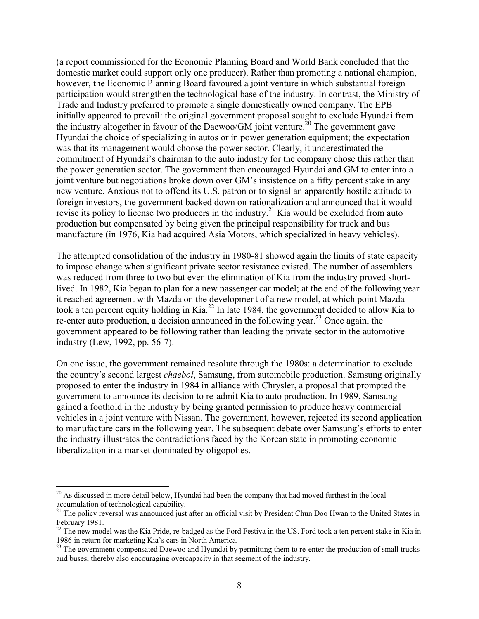(a report commissioned for the Economic Planning Board and World Bank concluded that the domestic market could support only one producer). Rather than promoting a national champion, however, the Economic Planning Board favoured a joint venture in which substantial foreign participation would strengthen the technological base of the industry. In contrast, the Ministry of Trade and Industry preferred to promote a single domestically owned company. The EPB initially appeared to prevail: the original government proposal sought to exclude Hyundai from the industry altogether in favour of the Daewoo/GM joint venture.<sup>20</sup> The government gave Hyundai the choice of specializing in autos or in power generation equipment; the expectation was that its management would choose the power sector. Clearly, it underestimated the commitment of Hyundai's chairman to the auto industry for the company chose this rather than the power generation sector. The government then encouraged Hyundai and GM to enter into a joint venture but negotiations broke down over GM's insistence on a fifty percent stake in any new venture. Anxious not to offend its U.S. patron or to signal an apparently hostile attitude to foreign investors, the government backed down on rationalization and announced that it would revise its policy to license two producers in the industry.<sup>21</sup> Kia would be excluded from auto production but compensated by being given the principal responsibility for truck and bus manufacture (in 1976, Kia had acquired Asia Motors, which specialized in heavy vehicles).

The attempted consolidation of the industry in 1980-81 showed again the limits of state capacity to impose change when significant private sector resistance existed. The number of assemblers was reduced from three to two but even the elimination of Kia from the industry proved shortlived. In 1982, Kia began to plan for a new passenger car model; at the end of the following year it reached agreement with Mazda on the development of a new model, at which point Mazda took a ten percent equity holding in Kia.<sup>22</sup> In late 1984, the government decided to allow Kia to re-enter auto production, a decision announced in the following year.[23 O](#page-9-3)nce again, the government appeared to be following rather than leading the private sector in the automotive industry (Lew, 1992, pp. 56-7).

On one issue, the government remained resolute through the 1980s: a determination to exclude the country's second largest *chaebol*, Samsung, from automobile production. Samsung originally proposed to enter the industry in 1984 in alliance with Chrysler, a proposal that prompted the government to announce its decision to re-admit Kia to auto production. In 1989, Samsung gained a foothold in the industry by being granted permission to produce heavy commercial vehicles in a joint venture with Nissan. The government, however, rejected its second application to manufacture cars in the following year. The subsequent debate over Samsung's efforts to enter the industry illustrates the contradictions faced by the Korean state in promoting economic liberalization in a market dominated by oligopolies.

<span id="page-9-0"></span> $20$  As discussed in more detail below, Hyundai had been the company that had moved furthest in the local accumulation of technological capability.

<span id="page-9-1"></span> $21$  The policy reversal was announced just after an official visit by President Chun Doo Hwan to the United States in

<span id="page-9-2"></span>February 1981.<br><sup>22</sup> The new model was the Kia Pride, re-badged as the Ford Festiva in the US. Ford took a ten percent stake in Kia in 1986 in return for marketing Kia's cars in North America.

<span id="page-9-3"></span> $1986$  in Fermin for marketing Kia Daewoo and Hyundai by permitting them to re-enter the production of small trucks and buses, thereby also encouraging overcapacity in that segment of the industry.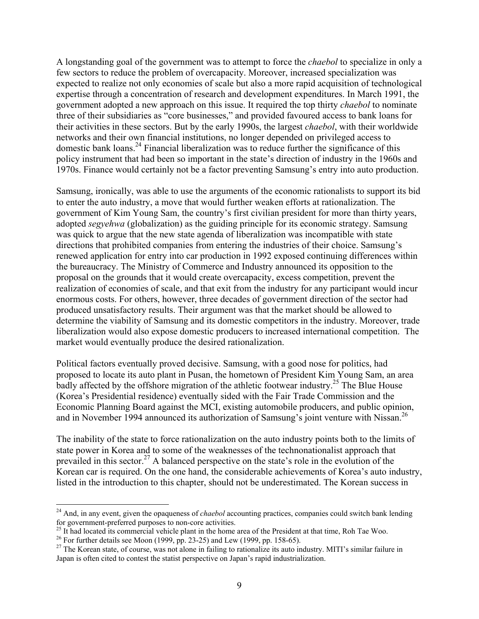A longstanding goal of the government was to attempt to force the *chaebol* to specialize in only a few sectors to reduce the problem of overcapacity. Moreover, increased specialization was expected to realize not only economies of scale but also a more rapid acquisition of technological expertise through a concentration of research and development expenditures. In March 1991, the government adopted a new approach on this issue. It required the top thirty *chaebol* to nominate three of their subsidiaries as "core businesses," and provided favoured access to bank loans for their activities in these sectors. But by the early 1990s, the largest *chaebol*, with their worldwide networks and their own financial institutions, no longer depended on privileged access to domestic bank loans.<sup>24</sup> Financial liberalization was to reduce further the significance of this policy instrument that had been so important in the state's direction of industry in the 1960s and 1970s. Finance would certainly not be a factor preventing Samsung's entry into auto production.

Samsung, ironically, was able to use the arguments of the economic rationalists to support its bid to enter the auto industry, a move that would further weaken efforts at rationalization. The government of Kim Young Sam, the country's first civilian president for more than thirty years, adopted *segyehwa* (globalization) as the guiding principle for its economic strategy. Samsung was quick to argue that the new state agenda of liberalization was incompatible with state directions that prohibited companies from entering the industries of their choice. Samsung's renewed application for entry into car production in 1992 exposed continuing differences within the bureaucracy. The Ministry of Commerce and Industry announced its opposition to the proposal on the grounds that it would create overcapacity, excess competition, prevent the realization of economies of scale, and that exit from the industry for any participant would incur enormous costs. For others, however, three decades of government direction of the sector had produced unsatisfactory results. Their argument was that the market should be allowed to determine the viability of Samsung and its domestic competitors in the industry. Moreover, trade liberalization would also expose domestic producers to increased international competition. The market would eventually produce the desired rationalization.

Political factors eventually proved decisive. Samsung, with a good nose for politics, had proposed to locate its auto plant in Pusan, the hometown of President Kim Young Sam, an area badly affected by the offshore migration of the athletic footwear industry.<sup>25</sup> The Blue House (Korea's Presidential residence) eventually sided with the Fair Trade Commission and the Economic Planning Board against the MCI, existing automobile producers, and public opinion, and in November 1994 announced its authorization of Samsung's joint venture with Nissan.<sup>[26](#page-10-2)</sup>

The inability of the state to force rationalization on the auto industry points both to the limits of state power in Korea and to some of the weaknesses of the technonationalist approach that prevailed in this sector.<sup>27</sup> A balanced perspective on the state's role in the evolution of the Korean car is required. On the one hand, the considerable achievements of Korea's auto industry, listed in the introduction to this chapter, should not be underestimated. The Korean success in

<span id="page-10-0"></span><sup>24</sup> And, in any event, given the opaqueness of *chaebol* accounting practices, companies could switch bank lending for government-preferred purposes to non-core activities.<br><sup>25</sup> It had located its commercial vehicle plant in the home area of the President at that time, Roh Tae Woo.<br><sup>26</sup> For further details see Moon (1999, pp. 23-25) a

<span id="page-10-1"></span>

<span id="page-10-2"></span>

<span id="page-10-3"></span>Japan is often cited to contest the statist perspective on Japan's rapid industrialization.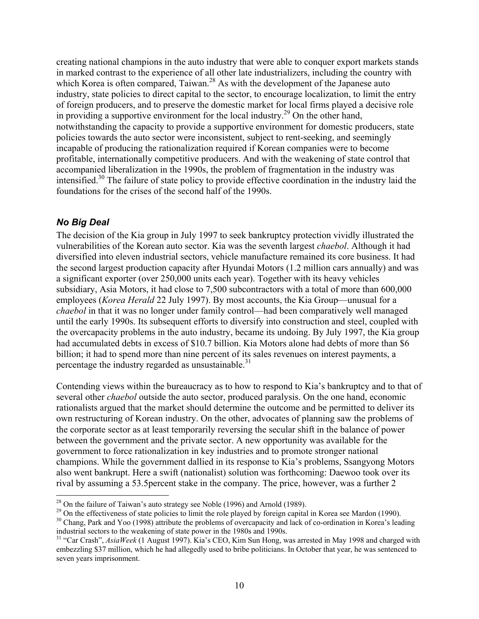creating national champions in the auto industry that were able to conquer export markets stands in marked contrast to the experience of all other late industrializers, including the country with which Korea is often compared, Taiwan. $^{28}$  As with the development of the Japanese auto industry, state policies to direct capital to the sector, to encourage localization, to limit the entry of foreign producers, and to preserve the domestic market for local firms played a decisive role in providing a supportive environment for the local industry.<sup>29</sup> On the other hand, notwithstanding the capacity to provide a supportive environment for domestic producers, state policies towards the auto sector were inconsistent, subject to rent-seeking, and seemingly incapable of producing the rationalization required if Korean companies were to become profitable, internationally competitive producers. And with the weakening of state control that accompanied liberalization in the 1990s, the problem of fragmentation in the industry was intensified.[30 T](#page-11-2)he failure of state policy to provide effective coordination in the industry laid the foundations for the crises of the second half of the 1990s.

#### *No Big Deal*

The decision of the Kia group in July 1997 to seek bankruptcy protection vividly illustrated the vulnerabilities of the Korean auto sector. Kia was the seventh largest *chaebol*. Although it had diversified into eleven industrial sectors, vehicle manufacture remained its core business. It had the second largest production capacity after Hyundai Motors (1.2 million cars annually) and was a significant exporter (over 250,000 units each year). Together with its heavy vehicles subsidiary, Asia Motors, it had close to 7,500 subcontractors with a total of more than 600,000 employees (*Korea Herald* 22 July 1997). By most accounts, the Kia Group—unusual for a *chaebol* in that it was no longer under family control—had been comparatively well managed until the early 1990s. Its subsequent efforts to diversify into construction and steel, coupled with the overcapacity problems in the auto industry, became its undoing. By July 1997, the Kia group had accumulated debts in excess of \$10.7 billion. Kia Motors alone had debts of more than \$6 billion; it had to spend more than nine percent of its sales revenues on interest payments, a percentage the industry regarded as unsustainable.<sup>[31](#page-11-3)</sup>

Contending views within the bureaucracy as to how to respond to Kia's bankruptcy and to that of several other *chaebol* outside the auto sector, produced paralysis. On the one hand, economic rationalists argued that the market should determine the outcome and be permitted to deliver its own restructuring of Korean industry. On the other, advocates of planning saw the problems of the corporate sector as at least temporarily reversing the secular shift in the balance of power between the government and the private sector. A new opportunity was available for the government to force rationalization in key industries and to promote stronger national champions. While the government dallied in its response to Kia's problems, Ssangyong Motors also went bankrupt. Here a swift (nationalist) solution was forthcoming: Daewoo took over its rival by assuming a 53.5percent stake in the company. The price, however, was a further 2

<span id="page-11-0"></span><sup>&</sup>lt;sup>28</sup> On the failure of Taiwan's auto strategy see Noble (1996) and Arnold (1989).

<span id="page-11-1"></span><sup>&</sup>lt;sup>29</sup> On the effectiveness of state policies to limit the role played by foreign capital in Korea see Mardon (1990).<br><sup>30</sup> Chang, Park and Yoo (1998) attribute the problems of overcapacity and lack of co-ordination in Korea

<span id="page-11-2"></span>industrial sectors to the weakening of state power in the 1980s and 1990s. 31 "Car Crash", *AsiaWeek* (1 August 1997). Kia's CEO, Kim Sun Hong, was arrested in May 1998 and charged with

<span id="page-11-3"></span>embezzling \$37 million, which he had allegedly used to bribe politicians. In October that year, he was sentenced to seven years imprisonment.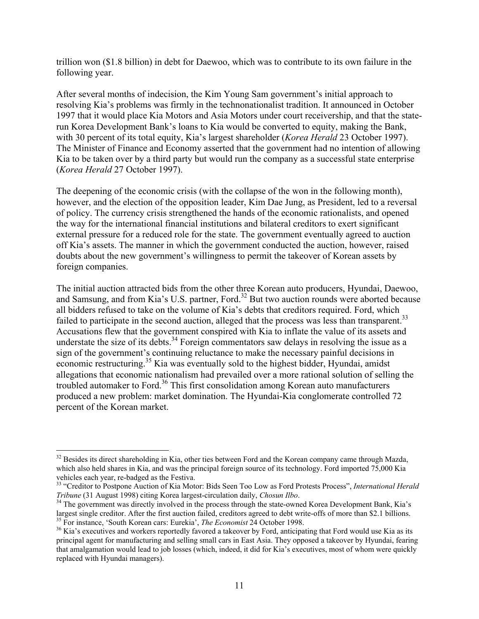trillion won (\$1.8 billion) in debt for Daewoo, which was to contribute to its own failure in the following year.

After several months of indecision, the Kim Young Sam government's initial approach to resolving Kia's problems was firmly in the technonationalist tradition. It announced in October 1997 that it would place Kia Motors and Asia Motors under court receivership, and that the staterun Korea Development Bank's loans to Kia would be converted to equity, making the Bank, with 30 percent of its total equity, Kia's largest shareholder (*Korea Herald* 23 October 1997). The Minister of Finance and Economy asserted that the government had no intention of allowing Kia to be taken over by a third party but would run the company as a successful state enterprise (*Korea Herald* 27 October 1997).

The deepening of the economic crisis (with the collapse of the won in the following month), however, and the election of the opposition leader, Kim Dae Jung, as President, led to a reversal of policy. The currency crisis strengthened the hands of the economic rationalists, and opened the way for the international financial institutions and bilateral creditors to exert significant external pressure for a reduced role for the state. The government eventually agreed to auction off Kia's assets. The manner in which the government conducted the auction, however, raised doubts about the new government's willingness to permit the takeover of Korean assets by foreign companies.

The initial auction attracted bids from the other three Korean auto producers, Hyundai, Daewoo, and Samsung, and from Kia's U.S. partner, Ford.<sup>32</sup> But two auction rounds were aborted because all bidders refused to take on the volume of Kia's debts that creditors required. Ford, which failed to participate in the second auction, alleged that the process was less than transparent.<sup>33</sup> Accusations flew that the government conspired with Kia to inflate the value of its assets and understate the size of its debts. $34$  Foreign commentators saw delays in resolving the issue as a sign of the government's continuing reluctance to make the necessary painful decisions in economic restructuring[.35 K](#page-12-3)ia was eventually sold to the highest bidder, Hyundai, amidst allegations that economic nationalism had prevailed over a more rational solution of selling the troubled automaker to Ford.<sup>36</sup> This first consolidation among Korean auto manufacturers produced a new problem: market domination. The Hyundai-Kia conglomerate controlled 72 percent of the Korean market.

<span id="page-12-0"></span><sup>&</sup>lt;sup>32</sup> Besides its direct shareholding in Kia, other ties between Ford and the Korean company came through Mazda, which also held shares in Kia, and was the principal foreign source of its technology. Ford imported 75,000 Kia vehicles each year, re-badged as the Festiva.

<span id="page-12-1"></span><sup>&</sup>lt;sup>33</sup> "Creditor to Postpone Auction of Kia Motor: Bids Seen Too Low as Ford Protests Process", *International Herald* 

<span id="page-12-2"></span>*Tribune* (31 August 1998) citing Korea largest-circulation daily, *Chosun Ilbo*.<br><sup>34</sup> The government was directly involved in the process through the state-owned Korea Development Bank, Kia's largest single creditor. Afte

<span id="page-12-4"></span><span id="page-12-3"></span><sup>&</sup>lt;sup>35</sup> For instance, 'South Korean cars: Eurekia', *The Economist* 24 October 1998.<br><sup>36</sup> Kia's executives and workers reportedly favored a takeover by Ford, anticipating that Ford would use Kia as its principal agent for manufacturing and selling small cars in East Asia. They opposed a takeover by Hyundai, fearing that amalgamation would lead to job losses (which, indeed, it did for Kia's executives, most of whom were quickly replaced with Hyundai managers).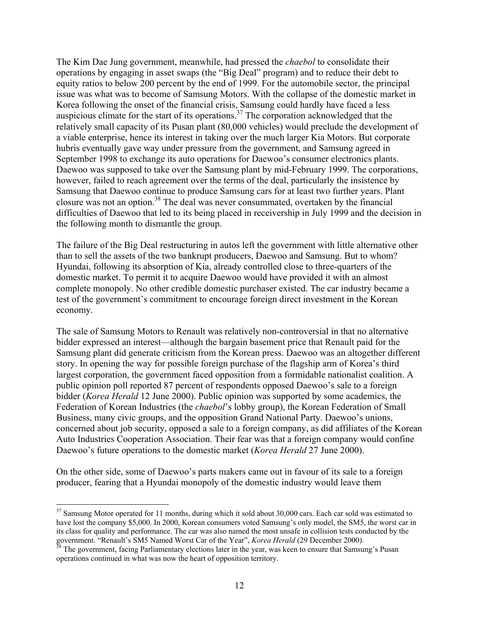The Kim Dae Jung government, meanwhile, had pressed the *chaebol* to consolidate their operations by engaging in asset swaps (the "Big Deal" program) and to reduce their debt to equity ratios to below 200 percent by the end of 1999. For the automobile sector, the principal issue was what was to become of Samsung Motors. With the collapse of the domestic market in Korea following the onset of the financial crisis, Samsung could hardly have faced a less auspicious climate for the start of its operations.[37 T](#page-13-0)he corporation acknowledged that the relatively small capacity of its Pusan plant (80,000 vehicles) would preclude the development of a viable enterprise, hence its interest in taking over the much larger Kia Motors. But corporate hubris eventually gave way under pressure from the government, and Samsung agreed in September 1998 to exchange its auto operations for Daewoo's consumer electronics plants. Daewoo was supposed to take over the Samsung plant by mid-February 1999. The corporations, however, failed to reach agreement over the terms of the deal, particularly the insistence by Samsung that Daewoo continue to produce Samsung cars for at least two further years. Plant closure was not an option.[38 T](#page-13-1)he deal was never consummated, overtaken by the financial difficulties of Daewoo that led to its being placed in receivership in July 1999 and the decision in the following month to dismantle the group.

The failure of the Big Deal restructuring in autos left the government with little alternative other than to sell the assets of the two bankrupt producers, Daewoo and Samsung. But to whom? Hyundai, following its absorption of Kia, already controlled close to three-quarters of the domestic market. To permit it to acquire Daewoo would have provided it with an almost complete monopoly. No other credible domestic purchaser existed. The car industry became a test of the government's commitment to encourage foreign direct investment in the Korean economy.

The sale of Samsung Motors to Renault was relatively non-controversial in that no alternative bidder expressed an interest—although the bargain basement price that Renault paid for the Samsung plant did generate criticism from the Korean press. Daewoo was an altogether different story. In opening the way for possible foreign purchase of the flagship arm of Korea's third largest corporation, the government faced opposition from a formidable nationalist coalition. A public opinion poll reported 87 percent of respondents opposed Daewoo's sale to a foreign bidder (*Korea Herald* 12 June 2000). Public opinion was supported by some academics, the Federation of Korean Industries (the *chaebol*'s lobby group), the Korean Federation of Small Business, many civic groups, and the opposition Grand National Party. Daewoo's unions, concerned about job security, opposed a sale to a foreign company, as did affiliates of the Korean Auto Industries Cooperation Association. Their fear was that a foreign company would confine Daewoo's future operations to the domestic market (*Korea Herald* 27 June 2000).

On the other side, some of Daewoo's parts makers came out in favour of its sale to a foreign producer, fearing that a Hyundai monopoly of the domestic industry would leave them

<span id="page-13-0"></span><sup>&</sup>lt;sup>37</sup> Samsung Motor operated for 11 months, during which it sold about 30,000 cars. Each car sold was estimated to have lost the company \$5,000. In 2000, Korean consumers voted Samsung's only model, the SM5, the worst car in its class for quality and performance. The car was also named the most unsafe in collision tests conducted by the government. "Renault's SM5 Named Worst Car of the Year", *Korea Herald* (29 December 2000).<br><sup>38</sup> The government, facing Parliamentary elections later in the year, was keen to ensure that Samsung's Pusan

<span id="page-13-1"></span>operations continued in what was now the heart of opposition territory.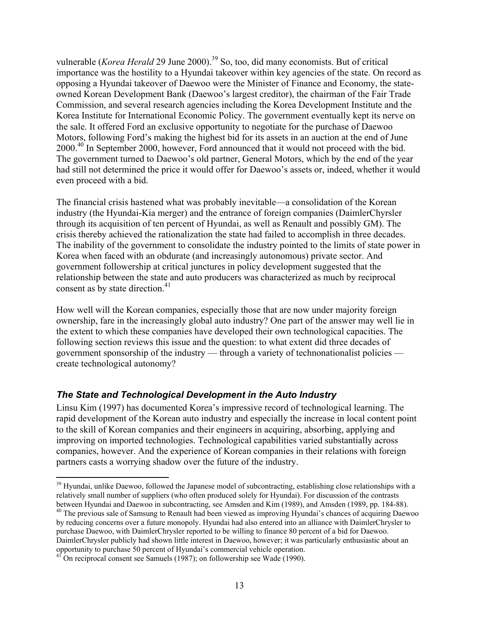vulnerable (*Korea Herald* 29 June 2000).<sup>39</sup> So, too, did many economists. But of critical importance was the hostility to a Hyundai takeover within key agencies of the state. On record as opposing a Hyundai takeover of Daewoo were the Minister of Finance and Economy, the stateowned Korean Development Bank (Daewoo's largest creditor), the chairman of the Fair Trade Commission, and several research agencies including the Korea Development Institute and the Korea Institute for International Economic Policy. The government eventually kept its nerve on the sale. It offered Ford an exclusive opportunity to negotiate for the purchase of Daewoo Motors, following Ford's making the highest bid for its assets in an auction at the end of June 2000.[40](#page-14-1) In September 2000, however, Ford announced that it would not proceed with the bid. The government turned to Daewoo's old partner, General Motors, which by the end of the year had still not determined the price it would offer for Daewoo's assets or, indeed, whether it would even proceed with a bid.

The financial crisis hastened what was probably inevitable—a consolidation of the Korean industry (the Hyundai-Kia merger) and the entrance of foreign companies (DaimlerChyrsler through its acquisition of ten percent of Hyundai, as well as Renault and possibly GM). The crisis thereby achieved the rationalization the state had failed to accomplish in three decades. The inability of the government to consolidate the industry pointed to the limits of state power in Korea when faced with an obdurate (and increasingly autonomous) private sector. And government followership at critical junctures in policy development suggested that the relationship between the state and auto producers was characterized as much by reciprocal consent as by state direction.<sup>41</sup>

How well will the Korean companies, especially those that are now under majority foreign ownership, fare in the increasingly global auto industry? One part of the answer may well lie in the extent to which these companies have developed their own technological capacities. The following section reviews this issue and the question: to what extent did three decades of government sponsorship of the industry — through a variety of technonationalist policies create technological autonomy?

### *The State and Technological Development in the Auto Industry*

Linsu Kim (1997) has documented Korea's impressive record of technological learning. The rapid development of the Korean auto industry and especially the increase in local content point to the skill of Korean companies and their engineers in acquiring, absorbing, applying and improving on imported technologies. Technological capabilities varied substantially across companies, however. And the experience of Korean companies in their relations with foreign partners casts a worrying shadow over the future of the industry.

<span id="page-14-0"></span><sup>1</sup> <sup>39</sup> Hyundai, unlike Daewoo, followed the Japanese model of subcontracting, establishing close relationships with a relatively small number of suppliers (who often produced solely for Hyundai). For discussion of the contrasts<br>between Hyundai and Daewoo in subcontracting, see Amsden and Kim (1989), and Amsden (1989, pp. 184-88).

<span id="page-14-1"></span> $^{40}$  The previous sale of Samsung to Renault had been viewed as improving Hyundai's chances of acquiring Daewoo by reducing concerns over a future monopoly. Hyundai had also entered into an alliance with DaimlerChrysler to purchase Daewoo, with DaimlerChrysler reported to be willing to finance 80 percent of a bid for Daewoo. DaimlerChrysler publicly had shown little interest in Daewoo, however; it was particularly enthusiastic about an opportunity to purchase 50 percent of Hyundai's commercial vehicle operation. 41 On reciprocal consent see Samuels (1987); on followership see Wade (1990).

<span id="page-14-2"></span>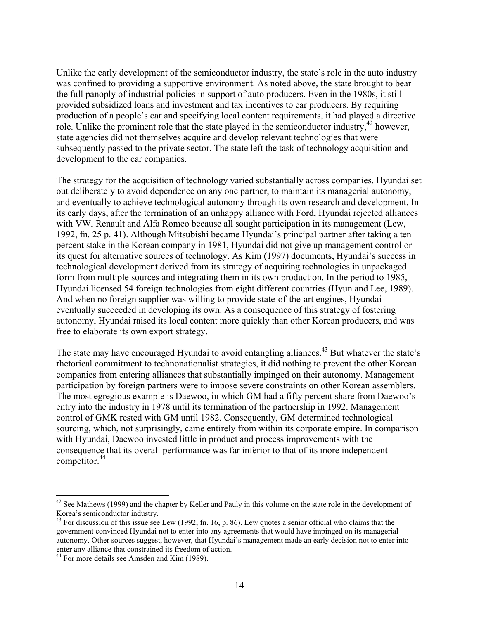Unlike the early development of the semiconductor industry, the state's role in the auto industry was confined to providing a supportive environment. As noted above, the state brought to bear the full panoply of industrial policies in support of auto producers. Even in the 1980s, it still provided subsidized loans and investment and tax incentives to car producers. By requiring production of a people's car and specifying local content requirements, it had played a directive role. Unlike the prominent role that the state played in the semiconductor industry,  $42$  however, state agencies did not themselves acquire and develop relevant technologies that were subsequently passed to the private sector. The state left the task of technology acquisition and development to the car companies.

The strategy for the acquisition of technology varied substantially across companies. Hyundai set out deliberately to avoid dependence on any one partner, to maintain its managerial autonomy, and eventually to achieve technological autonomy through its own research and development. In its early days, after the termination of an unhappy alliance with Ford, Hyundai rejected alliances with VW, Renault and Alfa Romeo because all sought participation in its management (Lew, 1992, fn. 25 p. 41). Although Mitsubishi became Hyundai's principal partner after taking a ten percent stake in the Korean company in 1981, Hyundai did not give up management control or its quest for alternative sources of technology. As Kim (1997) documents, Hyundai's success in technological development derived from its strategy of acquiring technologies in unpackaged form from multiple sources and integrating them in its own production. In the period to 1985, Hyundai licensed 54 foreign technologies from eight different countries (Hyun and Lee, 1989). And when no foreign supplier was willing to provide state-of-the-art engines, Hyundai eventually succeeded in developing its own. As a consequence of this strategy of fostering autonomy, Hyundai raised its local content more quickly than other Korean producers, and was free to elaborate its own export strategy.

The state may have encouraged Hyundai to avoid entangling alliances.<sup>43</sup> But whatever the state's rhetorical commitment to technonationalist strategies, it did nothing to prevent the other Korean companies from entering alliances that substantially impinged on their autonomy. Management participation by foreign partners were to impose severe constraints on other Korean assemblers. The most egregious example is Daewoo, in which GM had a fifty percent share from Daewoo's entry into the industry in 1978 until its termination of the partnership in 1992. Management control of GMK rested with GM until 1982. Consequently, GM determined technological sourcing, which, not surprisingly, came entirely from within its corporate empire. In comparison with Hyundai, Daewoo invested little in product and process improvements with the consequence that its overall performance was far inferior to that of its more independent competitor.<sup>44</sup>

<span id="page-15-0"></span> $42$  See Mathews (1999) and the chapter by Keller and Pauly in this volume on the state role in the development of Korea's semiconductor industry.<br><sup>43</sup> For discussion of this issue see Lew (1992, fn. 16, p. 86). Lew quotes a senior official who claims that the

<span id="page-15-1"></span>government convinced Hyundai not to enter into any agreements that would have impinged on its managerial autonomy. Other sources suggest, however, that Hyundai's management made an early decision not to enter into enter any alliance that constrained its freedom of action.<br><sup>44</sup> For more details see Amsden and Kim (1989).

<span id="page-15-2"></span>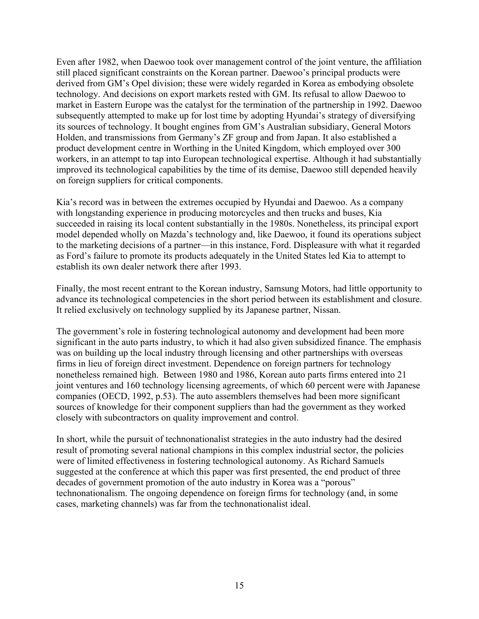Even after 1982, when Daewoo took over management control of the joint venture, the affiliation still placed significant constraints on the Korean partner. Daewoo's principal products were derived from GM's Opel division; these were widely regarded in Korea as embodying obsolete technology. And decisions on export markets rested with GM. Its refusal to allow Daewoo to market in Eastern Europe was the catalyst for the termination of the partnership in 1992. Daewoo subsequently attempted to make up for lost time by adopting Hyundai's strategy of diversifying its sources of technology. It bought engines from GM's Australian subsidiary, General Motors Holden, and transmissions from Germany's ZF group and from Japan. It also established a product development centre in Worthing in the United Kingdom, which employed over 300 workers, in an attempt to tap into European technological expertise. Although it had substantially improved its technological capabilities by the time of its demise, Daewoo still depended heavily on foreign suppliers for critical components.

Kia's record was in between the extremes occupied by Hyundai and Daewoo. As a company with longstanding experience in producing motorcycles and then trucks and buses, Kia succeeded in raising its local content substantially in the 1980s. Nonetheless, its principal export model depended wholly on Mazda's technology and, like Daewoo, it found its operations subject to the marketing decisions of a partner—in this instance, Ford. Displeasure with what it regarded as Ford's failure to promote its products adequately in the United States led Kia to attempt to establish its own dealer network there after 1993.

Finally, the most recent entrant to the Korean industry, Samsung Motors, had little opportunity to advance its technological competencies in the short period between its establishment and closure. It relied exclusively on technology supplied by its Japanese partner, Nissan.

The government's role in fostering technological autonomy and development had been more significant in the auto parts industry, to which it had also given subsidized finance. The emphasis was on building up the local industry through licensing and other partnerships with overseas firms in lieu of foreign direct investment. Dependence on foreign partners for technology nonetheless remained high. Between 1980 and 1986, Korean auto parts firms entered into 21 joint ventures and 160 technology licensing agreements, of which 60 percent were with Japanese companies (OECD, 1992, p.53). The auto assemblers themselves had been more significant sources of knowledge for their component suppliers than had the government as they worked closely with subcontractors on quality improvement and control.

In short, while the pursuit of technonationalist strategies in the auto industry had the desired result of promoting several national champions in this complex industrial sector, the policies were of limited effectiveness in fostering technological autonomy. As Richard Samuels suggested at the conference at which this paper was first presented, the end product of three decades of government promotion of the auto industry in Korea was a "porous" technonationalism. The ongoing dependence on foreign firms for technology (and, in some cases, marketing channels) was far from the technonationalist ideal.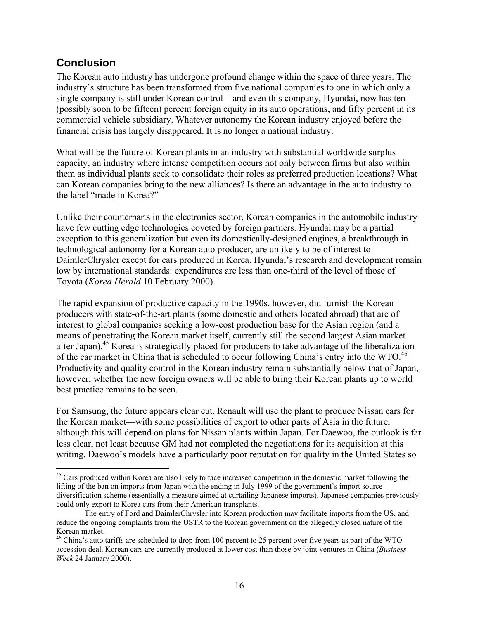## **Conclusion**

 $\overline{a}$ 

The Korean auto industry has undergone profound change within the space of three years. The industry's structure has been transformed from five national companies to one in which only a single company is still under Korean control—and even this company, Hyundai, now has ten (possibly soon to be fifteen) percent foreign equity in its auto operations, and fifty percent in its commercial vehicle subsidiary. Whatever autonomy the Korean industry enjoyed before the financial crisis has largely disappeared. It is no longer a national industry.

What will be the future of Korean plants in an industry with substantial worldwide surplus capacity, an industry where intense competition occurs not only between firms but also within them as individual plants seek to consolidate their roles as preferred production locations? What can Korean companies bring to the new alliances? Is there an advantage in the auto industry to the label "made in Korea?"

Unlike their counterparts in the electronics sector, Korean companies in the automobile industry have few cutting edge technologies coveted by foreign partners. Hyundai may be a partial exception to this generalization but even its domestically-designed engines, a breakthrough in technological autonomy for a Korean auto producer, are unlikely to be of interest to DaimlerChrysler except for cars produced in Korea. Hyundai's research and development remain low by international standards: expenditures are less than one-third of the level of those of Toyota (*Korea Herald* 10 February 2000).

The rapid expansion of productive capacity in the 1990s, however, did furnish the Korean producers with state-of-the-art plants (some domestic and others located abroad) that are of interest to global companies seeking a low-cost production base for the Asian region (and a means of penetrating the Korean market itself, currently still the second largest Asian market after Japan).<sup>45</sup> Korea is strategically placed for producers to take advantage of the liberalization of the car market in China that is scheduled to occur following China's entry into the WTO.<sup>[46](#page-17-1)</sup> Productivity and quality control in the Korean industry remain substantially below that of Japan, however; whether the new foreign owners will be able to bring their Korean plants up to world best practice remains to be seen.

For Samsung, the future appears clear cut. Renault will use the plant to produce Nissan cars for the Korean market—with some possibilities of export to other parts of Asia in the future, although this will depend on plans for Nissan plants within Japan. For Daewoo, the outlook is far less clear, not least because GM had not completed the negotiations for its acquisition at this writing. Daewoo's models have a particularly poor reputation for quality in the United States so

<span id="page-17-0"></span><sup>&</sup>lt;sup>45</sup> Cars produced within Korea are also likely to face increased competition in the domestic market following the lifting of the ban on imports from Japan with the ending in July 1999 of the government's import source diversification scheme (essentially a measure aimed at curtailing Japanese imports). Japanese companies previously could only export to Korea cars from their American transplants.

The entry of Ford and DaimlerChrysler into Korean production may facilitate imports from the US, and reduce the ongoing complaints from the USTR to the Korean government on the allegedly closed nature of the Korean market.<br><sup>46</sup> China's auto tariffs are scheduled to drop from 100 percent to 25 percent over five years as part of the WTO

<span id="page-17-1"></span>accession deal. Korean cars are currently produced at lower cost than those by joint ventures in China (*Business Week* 24 January 2000).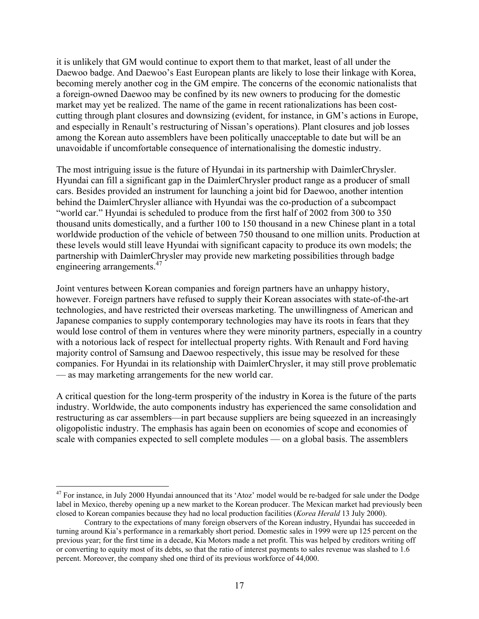it is unlikely that GM would continue to export them to that market, least of all under the Daewoo badge. And Daewoo's East European plants are likely to lose their linkage with Korea, becoming merely another cog in the GM empire. The concerns of the economic nationalists that a foreign-owned Daewoo may be confined by its new owners to producing for the domestic market may yet be realized. The name of the game in recent rationalizations has been costcutting through plant closures and downsizing (evident, for instance, in GM's actions in Europe, and especially in Renault's restructuring of Nissan's operations). Plant closures and job losses among the Korean auto assemblers have been politically unacceptable to date but will be an unavoidable if uncomfortable consequence of internationalising the domestic industry.

The most intriguing issue is the future of Hyundai in its partnership with DaimlerChrysler. Hyundai can fill a significant gap in the DaimlerChrysler product range as a producer of small cars. Besides provided an instrument for launching a joint bid for Daewoo, another intention behind the DaimlerChrysler alliance with Hyundai was the co-production of a subcompact "world car." Hyundai is scheduled to produce from the first half of 2002 from 300 to 350 thousand units domestically, and a further 100 to 150 thousand in a new Chinese plant in a total worldwide production of the vehicle of between 750 thousand to one million units. Production at these levels would still leave Hyundai with significant capacity to produce its own models; the partnership with DaimlerChrysler may provide new marketing possibilities through badge engineering arrangements.<sup>[47](#page-18-0)</sup>

Joint ventures between Korean companies and foreign partners have an unhappy history, however. Foreign partners have refused to supply their Korean associates with state-of-the-art technologies, and have restricted their overseas marketing. The unwillingness of American and Japanese companies to supply contemporary technologies may have its roots in fears that they would lose control of them in ventures where they were minority partners, especially in a country with a notorious lack of respect for intellectual property rights. With Renault and Ford having majority control of Samsung and Daewoo respectively, this issue may be resolved for these companies. For Hyundai in its relationship with DaimlerChrysler, it may still prove problematic — as may marketing arrangements for the new world car.

A critical question for the long-term prosperity of the industry in Korea is the future of the parts industry. Worldwide, the auto components industry has experienced the same consolidation and restructuring as car assemblers—in part because suppliers are being squeezed in an increasingly oligopolistic industry. The emphasis has again been on economies of scope and economies of scale with companies expected to sell complete modules — on a global basis. The assemblers

1

<span id="page-18-0"></span><sup>&</sup>lt;sup>47</sup> For instance, in July 2000 Hyundai announced that its 'Atoz' model would be re-badged for sale under the Dodge label in Mexico, thereby opening up a new market to the Korean producer. The Mexican market had previously been closed to Korean companies because they had no local production facilities (*Korea Herald* 13 July 2000).

Contrary to the expectations of many foreign observers of the Korean industry, Hyundai has succeeded in turning around Kia's performance in a remarkably short period. Domestic sales in 1999 were up 125 percent on the previous year; for the first time in a decade, Kia Motors made a net profit. This was helped by creditors writing off or converting to equity most of its debts, so that the ratio of interest payments to sales revenue was slashed to 1.6 percent. Moreover, the company shed one third of its previous workforce of 44,000.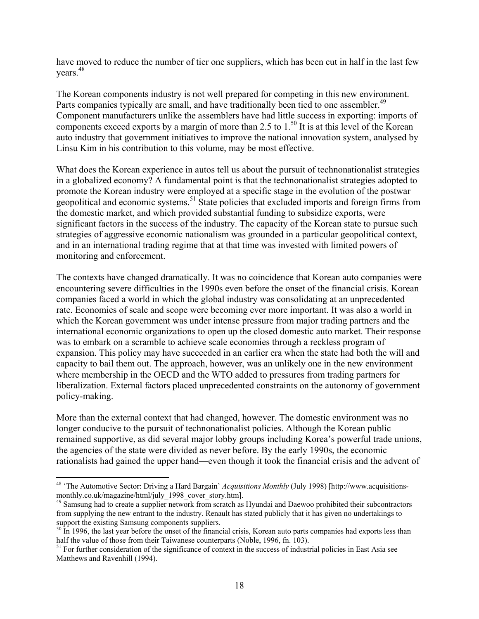have moved to reduce the number of tier one suppliers, which has been cut in half in the last few years.[48](#page-19-0) 

The Korean components industry is not well prepared for competing in this new environment. Parts companies typically are small, and have traditionally been tied to one assembler.<sup>[49](#page-19-1)</sup> Component manufacturers unlike the assemblers have had little success in exporting: imports of components exceed exports by a margin of more than 2.5 to  $1.^{50}$  It is at this level of the Korean auto industry that government initiatives to improve the national innovation system, analysed by Linsu Kim in his contribution to this volume, may be most effective.

What does the Korean experience in autos tell us about the pursuit of technonationalist strategies in a globalized economy? A fundamental point is that the technonationalist strategies adopted to promote the Korean industry were employed at a specific stage in the evolution of the postwar geopolitical and economic systems.<sup>51</sup> State policies that excluded imports and foreign firms from the domestic market, and which provided substantial funding to subsidize exports, were significant factors in the success of the industry. The capacity of the Korean state to pursue such strategies of aggressive economic nationalism was grounded in a particular geopolitical context, and in an international trading regime that at that time was invested with limited powers of monitoring and enforcement.

The contexts have changed dramatically. It was no coincidence that Korean auto companies were encountering severe difficulties in the 1990s even before the onset of the financial crisis. Korean companies faced a world in which the global industry was consolidating at an unprecedented rate. Economies of scale and scope were becoming ever more important. It was also a world in which the Korean government was under intense pressure from major trading partners and the international economic organizations to open up the closed domestic auto market. Their response was to embark on a scramble to achieve scale economies through a reckless program of expansion. This policy may have succeeded in an earlier era when the state had both the will and capacity to bail them out. The approach, however, was an unlikely one in the new environment where membership in the OECD and the WTO added to pressures from trading partners for liberalization. External factors placed unprecedented constraints on the autonomy of government policy-making.

More than the external context that had changed, however. The domestic environment was no longer conducive to the pursuit of technonationalist policies. Although the Korean public remained supportive, as did several major lobby groups including Korea's powerful trade unions, the agencies of the state were divided as never before. By the early 1990s, the economic rationalists had gained the upper hand—even though it took the financial crisis and the advent of

<span id="page-19-0"></span><sup>1</sup> 48 'The Automotive Sector: Driving a Hard Bargain' *Acquisitions Monthly* (July 1998) [http://www.acquisitionsmonthly.co.uk/magazine/html/july\_1998\_cover\_story.htm].<br><sup>49</sup> Samsung had to create a supplier network from scratch as Hyundai and Daewoo prohibited their subcontractors

<span id="page-19-1"></span>from supplying the new entrant to the industry. Renault has stated publicly that it has given no undertakings to support the existing Samsung components suppliers.<br><sup>50</sup> In 1996, the last year before the onset of the financial crisis, Korean auto parts companies had exports less than

<span id="page-19-2"></span>half the value of those from their Taiwanese counterparts (Noble, 1996, fn. 103).<br><sup>51</sup> For further consideration of the significance of context in the success of industrial policies in East Asia see

<span id="page-19-3"></span>Matthews and Ravenhill (1994).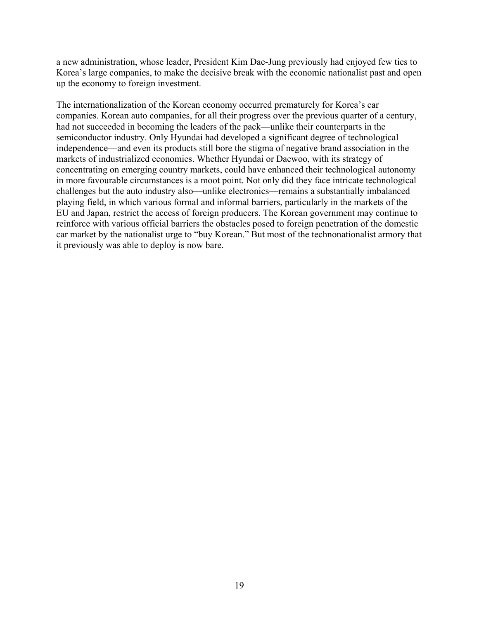a new administration, whose leader, President Kim Dae-Jung previously had enjoyed few ties to Korea's large companies, to make the decisive break with the economic nationalist past and open up the economy to foreign investment.

The internationalization of the Korean economy occurred prematurely for Korea's car companies. Korean auto companies, for all their progress over the previous quarter of a century, had not succeeded in becoming the leaders of the pack—unlike their counterparts in the semiconductor industry. Only Hyundai had developed a significant degree of technological independence—and even its products still bore the stigma of negative brand association in the markets of industrialized economies. Whether Hyundai or Daewoo, with its strategy of concentrating on emerging country markets, could have enhanced their technological autonomy in more favourable circumstances is a moot point. Not only did they face intricate technological challenges but the auto industry also—unlike electronics—remains a substantially imbalanced playing field, in which various formal and informal barriers, particularly in the markets of the EU and Japan, restrict the access of foreign producers. The Korean government may continue to reinforce with various official barriers the obstacles posed to foreign penetration of the domestic car market by the nationalist urge to "buy Korean." But most of the technonationalist armory that it previously was able to deploy is now bare.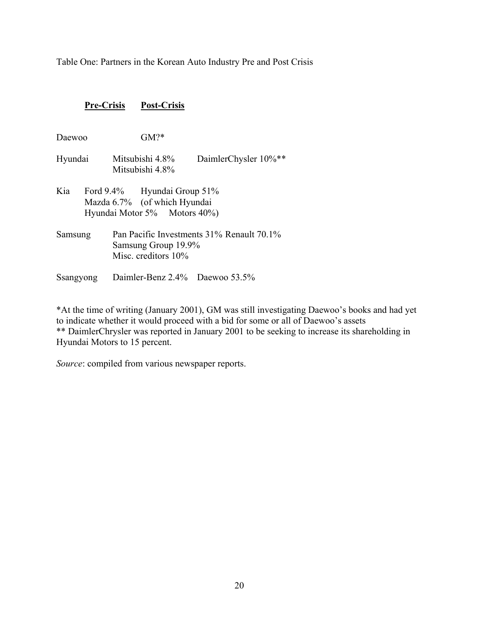Table One: Partners in the Korean Auto Industry Pre and Post Crisis

#### **Pre-Crisis Post-Crisis**

- Daewoo GM?\*
- Hyundai Mitsubishi 4.8% DaimlerChysler 10%\*\* Mitsubishi 4.8%
- Kia Ford 9.4% Hyundai Group 51% Mazda 6.7% (of which Hyundai Hyundai Motor 5% Motors 40%)
- Samsung Pan Pacific Investments 31% Renault 70.1% Samsung Group 19.9% Misc. creditors 10%
- Ssangyong Daimler-Benz 2.4% Daewoo 53.5%

\*At the time of writing (January 2001), GM was still investigating Daewoo's books and had yet to indicate whether it would proceed with a bid for some or all of Daewoo's assets \*\* DaimlerChrysler was reported in January 2001 to be seeking to increase its shareholding in Hyundai Motors to 15 percent.

*Source*: compiled from various newspaper reports.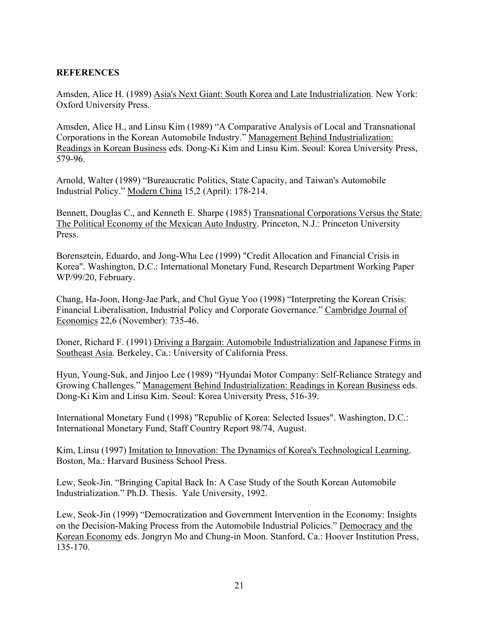#### **REFERENCES**

Amsden, Alice H. (1989) Asia's Next Giant: South Korea and Late Industrialization. New York: Oxford University Press.

Amsden, Alice H., and Linsu Kim (1989) "A Comparative Analysis of Local and Transnational Corporations in the Korean Automobile Industry." Management Behind Industrialization: Readings in Korean Business eds. Dong-Ki Kim and Linsu Kim. Seoul: Korea University Press, 579-96.

Arnold, Walter (1989) "Bureaucratic Politics, State Capacity, and Taiwan's Automobile Industrial Policy." Modern China 15,2 (April): 178-214.

Bennett, Douglas C., and Kenneth E. Sharpe (1985) Transnational Corporations Versus the State: The Political Economy of the Mexican Auto Industry. Princeton, N.J.: Princeton University Press.

Borensztein, Eduardo, and Jong-Wha Lee (1999) "Credit Allocation and Financial Crisis in Korea". Washington, D.C.: International Monetary Fund, Research Department Working Paper WP/99/20, February.

Chang, Ha-Joon, Hong-Jae Park, and Chul Gyue Yoo (1998) "Interpreting the Korean Crisis: Financial Liberalisation, Industrial Policy and Corporate Governance." Cambridge Journal of Economics 22,6 (November): 735-46.

Doner, Richard F. (1991) Driving a Bargain: Automobile Industrialization and Japanese Firms in Southeast Asia. Berkeley, Ca.: University of California Press.

Hyun, Young-Suk, and Jinjoo Lee (1989) "Hyundai Motor Company: Self-Reliance Strategy and Growing Challenges." Management Behind Industrialization: Readings in Korean Business eds. Dong-Ki Kim and Linsu Kim. Seoul: Korea University Press, 516-39.

International Monetary Fund (1998) "Republic of Korea: Selected Issues". Washington, D.C.: International Monetary Fund, Staff Country Report 98/74, August.

Kim, Linsu (1997) Imitation to Innovation: The Dynamics of Korea's Technological Learning. Boston, Ma.: Harvard Business School Press.

Lew, Seok-Jin. "Bringing Capital Back In: A Case Study of the South Korean Automobile Industrialization." Ph.D. Thesis. Yale University, 1992.

Lew, Seok-Jin (1999) "Democratization and Government Intervention in the Economy: Insights on the Decision-Making Process from the Automobile Industrial Policies." Democracy and the Korean Economy eds. Jongryn Mo and Chung-in Moon. Stanford, Ca.: Hoover Institution Press, 135-170.